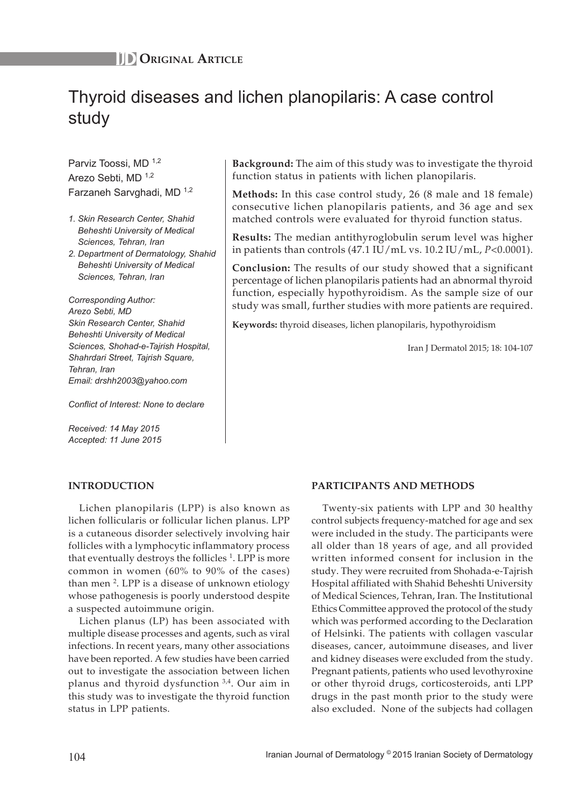# Thyroid diseases and lichen planopilaris: A case control study

Parviz Toossi, MD 1,2 Arezo Sebti, MD 1,2 Farzaneh Sarvghadi, MD 1,2

- *1. Skin Research Center, Shahid Beheshti University of Medical Sciences, Tehran, Iran*
- *2. Department of Dermatology, Shahid Beheshti University of Medical Sciences, Tehran, Iran*

*Corresponding Author: Arezo Sebti, MD Skin Research Center, Shahid Beheshti University of Medical Sciences, Shohad-e-Tajrish Hospital, Shahrdari Street, Tajrish Square, Tehran, Iran Email: drshh2003@yahoo.com*

*Conflict of Interest: None to declare*

*Received: 14 May 2015 Accepted: 11 June 2015* **Background:** The aim of this study was to investigate the thyroid function status in patients with lichen planopilaris.

**Methods:** In this case control study, 26 (8 male and 18 female) consecutive lichen planopilaris patients, and 36 age and sex matched controls were evaluated for thyroid function status.

**Results:** The median antithyroglobulin serum level was higher in patients than controls (47.1 IU/mL vs. 10.2 IU/mL, *P*<0.0001).

**Conclusion:** The results of our study showed that a significant percentage of lichen planopilaris patients had an abnormal thyroid function, especially hypothyroidism. As the sample size of our study was small, further studies with more patients are required.

**Keywords:** thyroid diseases, lichen planopilaris, hypothyroidism

Iran J Dermatol 2015; 18: 104-107

# **INTRODUCTION**

Lichen planopilaris (LPP) is also known as lichen follicularis or follicular lichen planus. LPP is a cutaneous disorder selectively involving hair follicles with a lymphocytic inflammatory process that eventually destroys the follicles  $1$ . LPP is more common in women (60% to 90% of the cases) than men<sup>2</sup>. LPP is a disease of unknown etiology whose pathogenesis is poorly understood despite a suspected autoimmune origin.

Lichen planus (LP) has been associated with multiple disease processes and agents, such as viral infections. In recent years, many other associations have been reported. A few studies have been carried out to investigate the association between lichen planus and thyroid dysfunction 3,4. Our aim in this study was to investigate the thyroid function status in LPP patients.

# **PARTICIPANTS AND METHODS**

Twenty-six patients with LPP and 30 healthy control subjects frequency-matched for age and sex were included in the study. The participants were all older than 18 years of age, and all provided written informed consent for inclusion in the study. They were recruited from Shohada-e-Tajrish Hospital affiliated with Shahid Beheshti University of Medical Sciences, Tehran, Iran. The Institutional Ethics Committee approved the protocol of the study which was performed according to the Declaration of Helsinki. The patients with collagen vascular diseases, cancer, autoimmune diseases, and liver and kidney diseases were excluded from the study. Pregnant patients, patients who used levothyroxine or other thyroid drugs, corticosteroids, anti LPP drugs in the past month prior to the study were also excluded. None of the subjects had collagen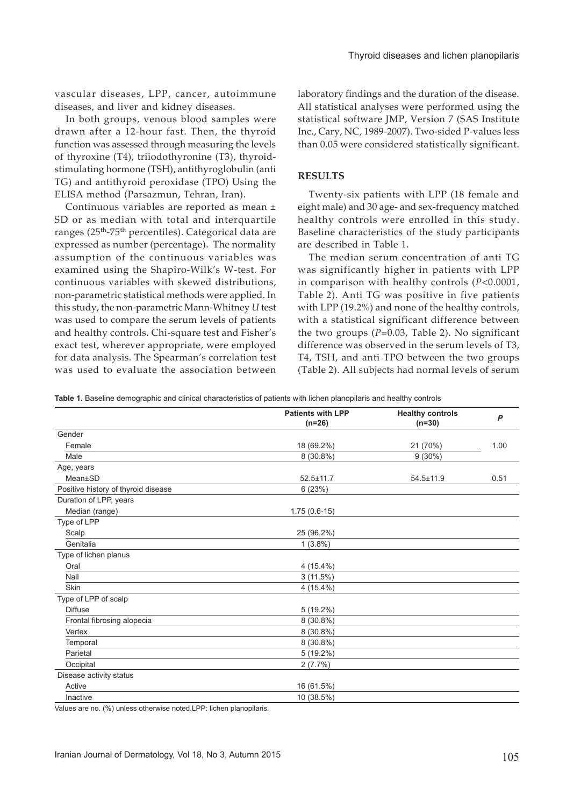vascular diseases, LPP, cancer, autoimmune diseases, and liver and kidney diseases.

In both groups, venous blood samples were drawn after a 12-hour fast. Then, the thyroid function was assessed through measuring the levels of thyroxine (T4), triiodothyronine (T3), thyroidstimulating hormone (TSH), antithyroglobulin (anti TG) and antithyroid peroxidase (TPO) Using the ELISA method (Parsazmun, Tehran, Iran).

Continuous variables are reported as mean ± SD or as median with total and interquartile ranges (25<sup>th</sup>-75<sup>th</sup> percentiles). Categorical data are expressed as number (percentage). The normality assumption of the continuous variables was examined using the Shapiro-Wilk's W-test. For continuous variables with skewed distributions, non-parametric statistical methods were applied. In this study, the non-parametric Mann-Whitney *U* test was used to compare the serum levels of patients and healthy controls. Chi-square test and Fisher's exact test, wherever appropriate, were employed for data analysis. The Spearman's correlation test was used to evaluate the association between

laboratory findings and the duration of the disease. All statistical analyses were performed using the statistical software JMP, Version 7 (SAS Institute Inc., Cary, NC, 1989-2007). Two-sided P-values less than 0.05 were considered statistically significant.

# **RESULTS**

Twenty-six patients with LPP (18 female and eight male) and 30 age- and sex-frequency matched healthy controls were enrolled in this study. Baseline characteristics of the study participants are described in Table 1.

The median serum concentration of anti TG was significantly higher in patients with LPP in comparison with healthy controls (*P*<0.0001, Table 2). Anti TG was positive in five patients with LPP (19.2%) and none of the healthy controls, with a statistical significant difference between the two groups (*P*=0.03, Table 2). No significant difference was observed in the serum levels of T3, T4, TSH, and anti TPO between the two groups (Table 2). All subjects had normal levels of serum

**Table 1.** Baseline demographic and clinical characteristics of patients with lichen planopilaris and healthy controls

|                                     | <b>Patients with LPP</b><br>$(n=26)$ | <b>Healthy controls</b><br>$(n=30)$ | P    |
|-------------------------------------|--------------------------------------|-------------------------------------|------|
| Gender                              |                                      |                                     |      |
| Female                              | 18 (69.2%)                           | 21 (70%)                            | 1.00 |
| Male                                | $8(30.8\%)$                          | $9(30\%)$                           |      |
| Age, years                          |                                      |                                     |      |
| Mean±SD                             | $52.5 \pm 11.7$                      | 54.5±11.9                           | 0.51 |
| Positive history of thyroid disease | 6(23%)                               |                                     |      |
| Duration of LPP, years              |                                      |                                     |      |
| Median (range)                      | $1.75(0.6-15)$                       |                                     |      |
| Type of LPP                         |                                      |                                     |      |
| Scalp                               | 25 (96.2%)                           |                                     |      |
| Genitalia                           | $1(3.8\%)$                           |                                     |      |
| Type of lichen planus               |                                      |                                     |      |
| Oral                                | 4 (15.4%)                            |                                     |      |
| Nail                                | 3(11.5%)                             |                                     |      |
| Skin                                | $4(15.4\%)$                          |                                     |      |
| Type of LPP of scalp                |                                      |                                     |      |
| <b>Diffuse</b>                      | $5(19.2\%)$                          |                                     |      |
| Frontal fibrosing alopecia          | 8 (30.8%)                            |                                     |      |
| Vertex                              | 8 (30.8%)                            |                                     |      |
| Temporal                            | 8 (30.8%)                            |                                     |      |
| Parietal                            | $5(19.2\%)$                          |                                     |      |
| Occipital                           | 2(7.7%)                              |                                     |      |
| Disease activity status             |                                      |                                     |      |
| Active                              | 16 (61.5%)                           |                                     |      |
| Inactive                            | 10 (38.5%)                           |                                     |      |

Values are no. (%) unless otherwise noted.LPP: lichen planopilaris.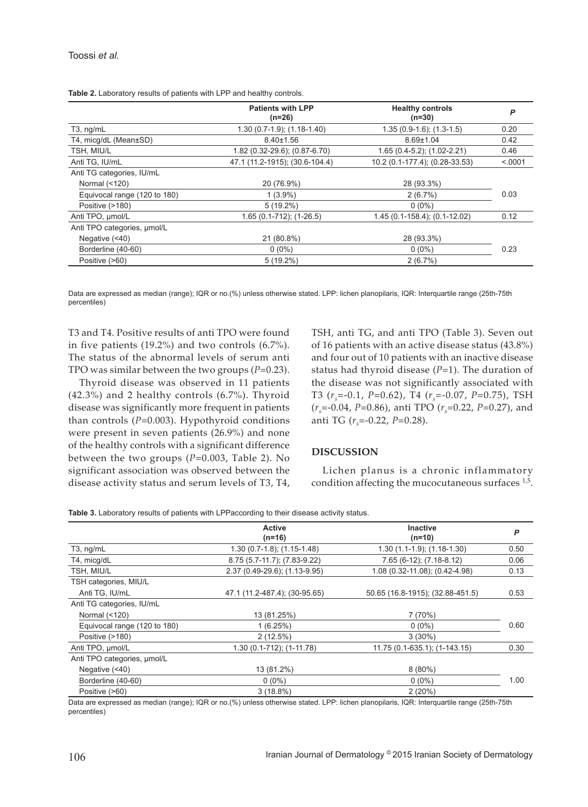|                              | <b>Patients with LPP</b><br>$(n=26)$ | <b>Healthy controls</b><br>$(n=30)$ | P       |
|------------------------------|--------------------------------------|-------------------------------------|---------|
| $T3$ , ng/mL                 | $1.30(0.7-1.9)$ ; $(1.18-1.40)$      | $1.35(0.9-1.6)$ ; $(1.3-1.5)$       | 0.20    |
| T4, micg/dL (Mean±SD)        | $8.40 \pm 1.56$                      | $8.69 \pm 1.04$                     | 0.42    |
| TSH, MIU/L                   | 1.82 (0.32-29.6); (0.87-6.70)        | $1.65(0.4-5.2)$ ; $(1.02-2.21)$     | 0.46    |
| Anti TG, IU/mL               | 47.1 (11.2-1915); (30.6-104.4)       | 10.2 (0.1-177.4); (0.28-33.53)      | < 0.001 |
| Anti TG categories, IU/mL    |                                      |                                     |         |
| Normal (<120)                | 20 (76.9%)                           | 28 (93.3%)                          |         |
| Equivocal range (120 to 180) | $1(3.9\%)$                           | 2(6.7%)                             | 0.03    |
| Positive (>180)              | $5(19.2\%)$                          | $0(0\%)$                            |         |
| Anti TPO, umol/L             | $1.65(0.1-712)$ ; $(1-26.5)$         | 1.45 (0.1-158.4); (0.1-12.02)       | 0.12    |
| Anti TPO categories, umol/L  |                                      |                                     |         |
| Negative $(40)$              | 21 (80.8%)                           | 28 (93.3%)                          |         |
| Borderline (40-60)           | $0(0\%)$                             | $0(0\%)$                            | 0.23    |
| Positive (>60)               | $5(19.2\%)$                          | 2(6.7%)                             |         |
|                              |                                      |                                     |         |

**Table 2.** Laboratory results of patients with LPP and healthy controls.

Data are expressed as median (range); IQR or no.(%) unless otherwise stated. LPP: lichen planopilaris, IQR: Interquartile range (25th-75th percentiles)

T3 and T4. Positive results of anti TPO were found in five patients (19.2%) and two controls (6.7%). The status of the abnormal levels of serum anti TPO was similar between the two groups (*P*=0.23).

Thyroid disease was observed in 11 patients (42.3%) and 2 healthy controls (6.7%). Thyroid disease was significantly more frequent in patients than controls (*P*=0.003). Hypothyroid conditions were present in seven patients (26.9%) and none of the healthy controls with a significant difference between the two groups (*P*=0.003, Table 2). No significant association was observed between the disease activity status and serum levels of T3, T4, TSH, anti TG, and anti TPO (Table 3). Seven out of 16 patients with an active disease status (43.8%) and four out of 10 patients with an inactive disease status had thyroid disease (*P*=1). The duration of the disease was not significantly associated with T3 (*rs*=-0.1, *P*=0.62), T4 (*rs*=-0.07, *P*=0.75), TSH (*rs*=-0.04, *P*=0.86), anti TPO (*rs*=0.22, *P*=0.27), and anti TG ( $r_s$ =-0.22, P=0.28).

#### **DISCUSSION**

Lichen planus is a chronic inflammatory condition affecting the mucocutaneous surfaces  $1.5$ .

**Table 3.** Laboratory results of patients with LPPaccording to their disease activity status.

|                              | <b>Active</b><br>$(n=16)$       | <b>Inactive</b><br>$(n=10)$      | P    |
|------------------------------|---------------------------------|----------------------------------|------|
| $T3$ , ng/mL                 | $1.30(0.7-1.8)$ ; $(1.15-1.48)$ | $1.30(1.1-1.9)$ ; $(1.18-1.30)$  | 0.50 |
| T4, micg/dL                  | 8.75 (5.7-11.7); (7.83-9.22)    | 7.65 (6-12); (7.18-8.12)         | 0.06 |
| TSH, MIU/L                   | 2.37 (0.49-29.6); (1.13-9.95)   | 1.08 (0.32-11.08); (0.42-4.98)   | 0.13 |
| TSH categories, MIU/L        |                                 |                                  |      |
| Anti TG, IU/mL               | 47.1 (11.2-487.4); (30-95.65)   | 50.65 (16.8-1915); (32.88-451.5) | 0.53 |
| Anti TG categories, IU/mL    |                                 |                                  |      |
| Normal (<120)                | 13 (81.25%)                     | 7(70%)                           |      |
| Equivocal range (120 to 180) | 1(6.25%)                        | $0(0\%)$                         | 0.60 |
| Positive (>180)              | $2(12.5\%)$                     | $3(30\%)$                        |      |
| Anti TPO, umol/L             | $1.30(0.1-712)$ ; $(1-11.78)$   | 11.75 (0.1-635.1); (1-143.15)    | 0.30 |
| Anti TPO categories, umol/L  |                                 |                                  |      |
| Negative $($ <40)            | 13 (81.2%)                      | $8(80\%)$                        |      |
| Borderline (40-60)           | $0(0\%)$                        | $0(0\%)$                         | 1.00 |
| Positive (>60)               | $3(18.8\%)$                     | 2(20%)                           |      |

Data are expressed as median (range); IQR or no.(%) unless otherwise stated. LPP: lichen planopilaris, IQR: Interquartile range (25th-75th percentiles)